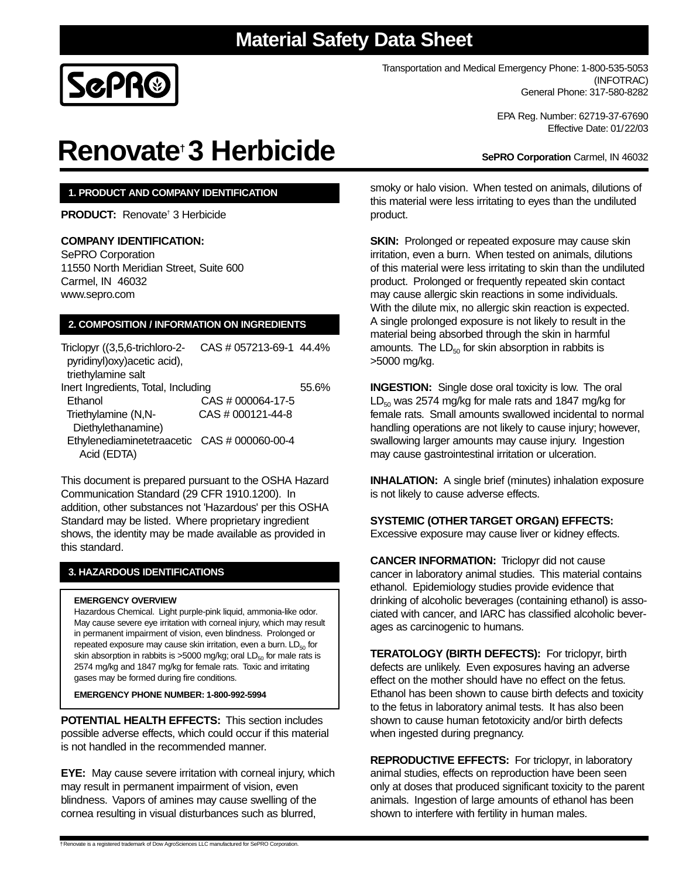### **Material Safety Data Sheet**



Transportation and Medical Emergency Phone: 1-800-535-5053 (INFOTRAC) General Phone: 317-580-8282

> EPA Reg. Number: 62719-37-67690 Effective Date: 01/22/03

**SePRO Corporation** Carmel, IN 46032

# **Renovate† 3 Herbicide**

#### **1. PRODUCT AND COMPANY IDENTIFICATION**

**PRODUCT:** Renovate† 3 Herbicide

#### **COMPANY IDENTIFICATION:**

SePRO Corporation 11550 North Meridian Street, Suite 600 Carmel, IN 46032 www.sepro.com

#### **2. COMPOSITION / INFORMATION ON INGREDIENTS**

| Triclopyr ((3,5,6-trichloro-2-<br>pyridinyl) oxy) acetic acid), | CAS # 057213-69-1 44.4% |       |
|-----------------------------------------------------------------|-------------------------|-------|
| triethylamine salt                                              |                         |       |
| Inert Ingredients, Total, Including                             |                         | 55.6% |
| Ethanol                                                         | CAS # 000064-17-5       |       |
| Triethylamine (N,N-                                             | CAS # 000121-44-8       |       |
| Diethylethanamine)                                              |                         |       |
| Ethylenediaminetetraacetic CAS # 000060-00-4                    |                         |       |
| Acid (EDTA)                                                     |                         |       |

This document is prepared pursuant to the OSHA Hazard Communication Standard (29 CFR 1910.1200). In addition, other substances not 'Hazardous' per this OSHA Standard may be listed. Where proprietary ingredient shows, the identity may be made available as provided in this standard.

#### **3. HAZARDOUS IDENTIFICATIONS**

#### **EMERGENCY OVERVIEW**

Hazardous Chemical. Light purple-pink liquid, ammonia-like odor. May cause severe eye irritation with corneal injury, which may result in permanent impairment of vision, even blindness. Prolonged or repeated exposure may cause skin irritation, even a burn.  $LD_{50}$  for skin absorption in rabbits is >5000 mg/kg; oral  $LD_{50}$  for male rats is 2574 mg/kg and 1847 mg/kg for female rats. Toxic and irritating gases may be formed during fire conditions.

**EMERGENCY PHONE NUMBER: 1-800-992-5994**

**POTENTIAL HEALTH EFFECTS:** This section includes possible adverse effects, which could occur if this material is not handled in the recommended manner.

**EYE:** May cause severe irritation with corneal injury, which may result in permanent impairment of vision, even blindness. Vapors of amines may cause swelling of the cornea resulting in visual disturbances such as blurred,

smoky or halo vision. When tested on animals, dilutions of this material were less irritating to eyes than the undiluted product.

**SKIN:** Prolonged or repeated exposure may cause skin irritation, even a burn. When tested on animals, dilutions of this material were less irritating to skin than the undiluted product. Prolonged or frequently repeated skin contact may cause allergic skin reactions in some individuals. With the dilute mix, no allergic skin reaction is expected. A single prolonged exposure is not likely to result in the material being absorbed through the skin in harmful amounts. The  $LD_{50}$  for skin absorption in rabbits is >5000 mg/kg.

**INGESTION:** Single dose oral toxicity is low. The oral  $LD_{50}$  was 2574 mg/kg for male rats and 1847 mg/kg for female rats. Small amounts swallowed incidental to normal handling operations are not likely to cause injury; however, swallowing larger amounts may cause injury. Ingestion may cause gastrointestinal irritation or ulceration.

**INHALATION:** A single brief (minutes) inhalation exposure is not likely to cause adverse effects.

#### **SYSTEMIC (OTHER TARGET ORGAN) EFFECTS:**

Excessive exposure may cause liver or kidney effects.

**CANCER INFORMATION:** Triclopyr did not cause cancer in laboratory animal studies. This material contains ethanol. Epidemiology studies provide evidence that drinking of alcoholic beverages (containing ethanol) is associated with cancer, and IARC has classified alcoholic beverages as carcinogenic to humans.

**TERATOLOGY (BIRTH DEFECTS):** For triclopyr, birth defects are unlikely. Even exposures having an adverse effect on the mother should have no effect on the fetus. Ethanol has been shown to cause birth defects and toxicity to the fetus in laboratory animal tests. It has also been shown to cause human fetotoxicity and/or birth defects when ingested during pregnancy.

**REPRODUCTIVE EFFECTS:** For triclopyr, in laboratory animal studies, effects on reproduction have been seen only at doses that produced significant toxicity to the parent animals. Ingestion of large amounts of ethanol has been shown to interfere with fertility in human males.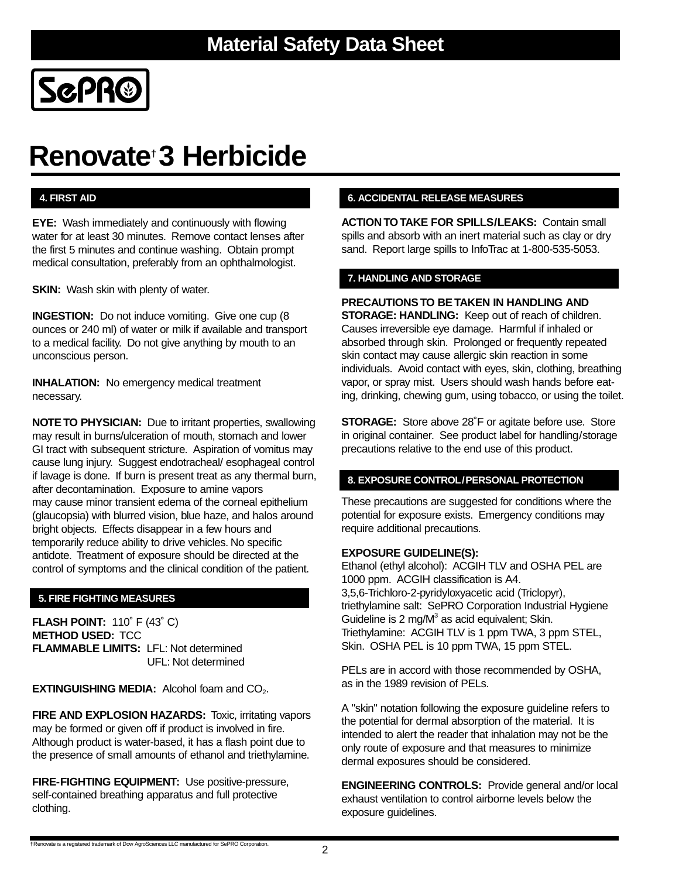

# **Renovate† 3 Herbicide**

**EYE:** Wash immediately and continuously with flowing water for at least 30 minutes. Remove contact lenses after the first 5 minutes and continue washing. Obtain prompt medical consultation, preferably from an ophthalmologist.

**SKIN:** Wash skin with plenty of water.

**INGESTION:** Do not induce vomiting. Give one cup (8 ounces or 240 ml) of water or milk if available and transport to a medical facility. Do not give anything by mouth to an unconscious person.

**INHALATION:** No emergency medical treatment necessary.

**NOTE TO PHYSICIAN:** Due to irritant properties, swallowing may result in burns/ulceration of mouth, stomach and lower GI tract with subsequent stricture. Aspiration of vomitus may cause lung injury. Suggest endotracheal/ esophageal control if lavage is done. If burn is present treat as any thermal burn, after decontamination. Exposure to amine vapors may cause minor transient edema of the corneal epithelium (glaucopsia) with blurred vision, blue haze, and halos around bright objects. Effects disappear in a few hours and temporarily reduce ability to drive vehicles. No specific antidote. Treatment of exposure should be directed at the control of symptoms and the clinical condition of the patient.

### **5. FIRE FIGHTING MEASURES**

**FLASH POINT:** 110˚ F (43˚ C) **METHOD USED:** TCC **FLAMMABLE LIMITS:** LFL: Not determined UFL: Not determined

**EXTINGUISHING MEDIA:** Alcohol foam and CO<sub>2</sub>.

**FIRE AND EXPLOSION HAZARDS: Toxic, irritating vapors** may be formed or given off if product is involved in fire. Although product is water-based, it has a flash point due to the presence of small amounts of ethanol and triethylamine.

**FIRE-FIGHTING EQUIPMENT:** Use positive-pressure, self-contained breathing apparatus and full protective clothing.

#### **4. FIRST AID 6. ACCIDENTAL RELEASE MEASURES**

**ACTION TO TAKE FOR SPILLS/LEAKS:** Contain small spills and absorb with an inert material such as clay or dry sand. Report large spills to InfoTrac at 1-800-535-5053.

#### **7. HANDLING AND STORAGE**

**PRECAUTIONS TO BE TAKEN IN HANDLING AND STORAGE: HANDLING:** Keep out of reach of children. Causes irreversible eye damage. Harmful if inhaled or absorbed through skin. Prolonged or frequently repeated skin contact may cause allergic skin reaction in some individuals. Avoid contact with eyes, skin, clothing, breathing vapor, or spray mist. Users should wash hands before eating, drinking, chewing gum, using tobacco, or using the toilet.

**STORAGE:** Store above 28˚F or agitate before use. Store in original container. See product label for handling/storage precautions relative to the end use of this product.

#### **8. EXPOSURE CONTROL/PERSONAL PROTECTION**

These precautions are suggested for conditions where the potential for exposure exists. Emergency conditions may require additional precautions.

#### **EXPOSURE GUIDELINE(S):**

Ethanol (ethyl alcohol): ACGIH TLV and OSHA PEL are 1000 ppm. ACGIH classification is A4. 3,5,6-Trichloro-2-pyridyloxyacetic acid (Triclopyr), triethylamine salt: SePRO Corporation Industrial Hygiene Guideline is 2 mg/ $M<sup>3</sup>$  as acid equivalent; Skin. Triethylamine: ACGIH TLV is 1 ppm TWA, 3 ppm STEL, Skin. OSHA PEL is 10 ppm TWA, 15 ppm STEL.

PELs are in accord with those recommended by OSHA, as in the 1989 revision of PELs.

A "skin" notation following the exposure guideline refers to the potential for dermal absorption of the material. It is intended to alert the reader that inhalation may not be the only route of exposure and that measures to minimize dermal exposures should be considered.

**ENGINEERING CONTROLS:** Provide general and/or local exhaust ventilation to control airborne levels below the exposure guidelines.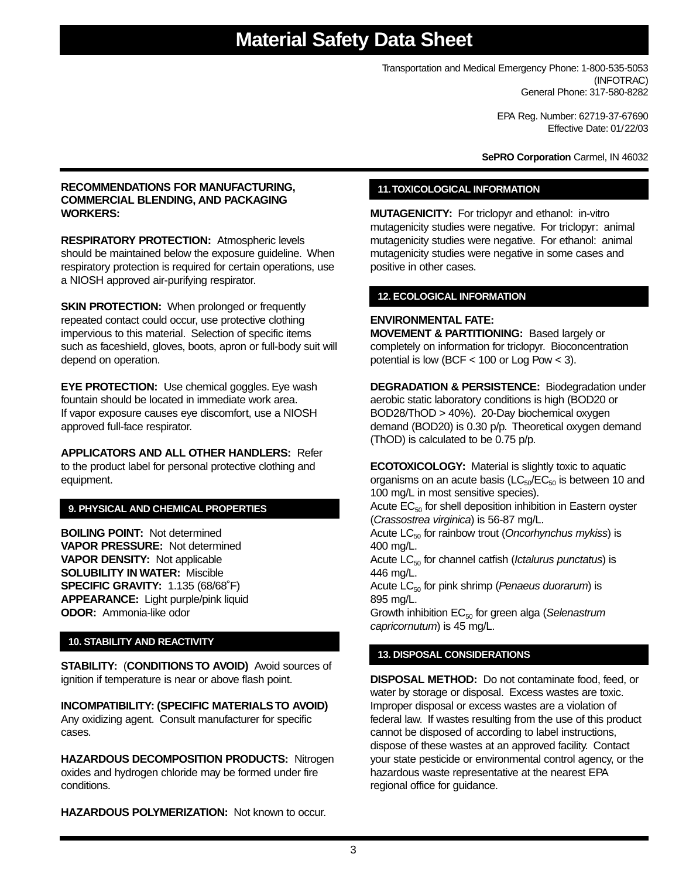Transportation and Medical Emergency Phone: 1-800-535-5053 (INFOTRAC) General Phone: 317-580-8282

> EPA Reg. Number: 62719-37-67690 Effective Date: 01/22/03

**SePRO Corporation** Carmel, IN 46032

#### **RECOMMENDATIONS FOR MANUFACTURING, COMMERCIAL BLENDING, AND PACKAGING WORKERS:**

**RESPIRATORY PROTECTION:** Atmospheric levels should be maintained below the exposure guideline. When respiratory protection is required for certain operations, use a NIOSH approved air-purifying respirator.

**SKIN PROTECTION:** When prolonged or frequently repeated contact could occur, use protective clothing impervious to this material. Selection of specific items such as faceshield, gloves, boots, apron or full-body suit will depend on operation.

**EYE PROTECTION:** Use chemical goggles. Eye wash fountain should be located in immediate work area. If vapor exposure causes eye discomfort, use a NIOSH approved full-face respirator.

**APPLICATORS AND ALL OTHER HANDLERS:** Refer to the product label for personal protective clothing and equipment.

### **9. PHYSICAL AND CHEMICAL PROPERTIES**

**BOILING POINT:** Not determined **VAPOR PRESSURE:** Not determined **VAPOR DENSITY:** Not applicable **SOLUBILITY IN WATER:** Miscible **SPECIFIC GRAVITY:** 1.135 (68/68˚F) **APPEARANCE:** Light purple/pink liquid **ODOR:** Ammonia-like odor

#### **10. STABILITY AND REACTIVITY**

**STABILITY:** (**CONDITIONS TO AVOID)** Avoid sources of ignition if temperature is near or above flash point.

**INCOMPATIBILITY: (SPECIFIC MATERIALS TO AVOID)** Any oxidizing agent. Consult manufacturer for specific cases.

**HAZARDOUS DECOMPOSITION PRODUCTS:** Nitrogen oxides and hydrogen chloride may be formed under fire conditions.

**HAZARDOUS POLYMERIZATION:** Not known to occur.

#### **11.TOXICOLOGICAL INFORMATION**

**MUTAGENICITY:** For triclopyr and ethanol: in-vitro mutagenicity studies were negative. For triclopyr: animal mutagenicity studies were negative. For ethanol: animal mutagenicity studies were negative in some cases and positive in other cases.

#### **12. ECOLOGICAL INFORMATION**

#### **ENVIRONMENTAL FATE:**

**MOVEMENT & PARTITIONING:** Based largely or completely on information for triclopyr. Bioconcentration potential is low (BCF < 100 or Log Pow < 3).

**DEGRADATION & PERSISTENCE:** Biodegradation under aerobic static laboratory conditions is high (BOD20 or BOD28/ThOD > 40%). 20-Day biochemical oxygen demand (BOD20) is 0.30 p/p. Theoretical oxygen demand (ThOD) is calculated to be 0.75 p/p.

**ECOTOXICOLOGY:** Material is slightly toxic to aquatic organisms on an acute basis ( $LC_{50}/EC_{50}$  is between 10 and 100 mg/L in most sensitive species).

Acute  $EC_{50}$  for shell deposition inhibition in Eastern oyster (Crassostrea virginica) is 56-87 mg/L.

Acute  $LC_{50}$  for rainbow trout (Oncorhynchus mykiss) is 400 mg/L.

Acute  $LC_{50}$  for channel catfish (Ictalurus punctatus) is 446 mg/L.

Acute  $LC_{50}$  for pink shrimp (Penaeus duorarum) is 895 mg/L.

Growth inhibition  $EC_{50}$  for green alga (Selenastrum capricornutum) is 45 mg/L.

### **13. DISPOSAL CONSIDERATIONS**

**DISPOSAL METHOD:** Do not contaminate food, feed, or water by storage or disposal. Excess wastes are toxic. Improper disposal or excess wastes are a violation of federal law. If wastes resulting from the use of this product cannot be disposed of according to label instructions, dispose of these wastes at an approved facility. Contact your state pesticide or environmental control agency, or the hazardous waste representative at the nearest EPA regional office for guidance.